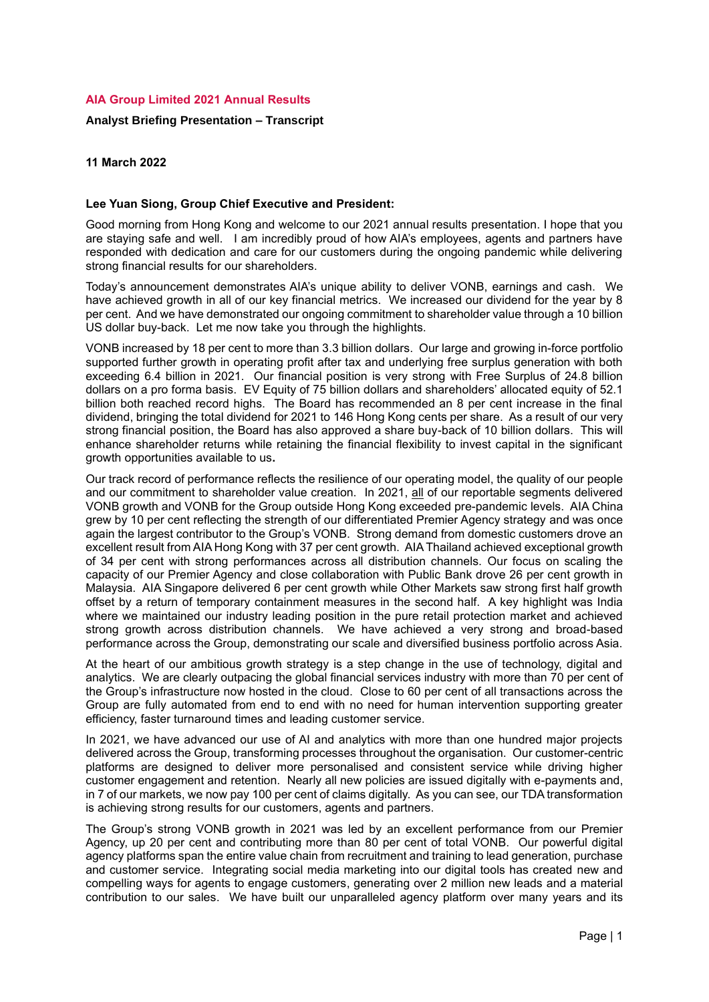# **AIA Group Limited 2021 Annual Results**

## **Analyst Briefing Presentation – Transcript**

**11 March 2022**

#### **Lee Yuan Siong, Group Chief Executive and President:**

Good morning from Hong Kong and welcome to our 2021 annual results presentation. I hope that you are staying safe and well. I am incredibly proud of how AIA's employees, agents and partners have responded with dedication and care for our customers during the ongoing pandemic while delivering strong financial results for our shareholders.

Today's announcement demonstrates AIA's unique ability to deliver VONB, earnings and cash. We have achieved growth in all of our key financial metrics. We increased our dividend for the year by 8 per cent. And we have demonstrated our ongoing commitment to shareholder value through a 10 billion US dollar buy-back. Let me now take you through the highlights.

VONB increased by 18 per cent to more than 3.3 billion dollars. Our large and growing in-force portfolio supported further growth in operating profit after tax and underlying free surplus generation with both exceeding 6.4 billion in 2021. Our financial position is very strong with Free Surplus of 24.8 billion dollars on a pro forma basis. EV Equity of 75 billion dollars and shareholders' allocated equity of 52.1 billion both reached record highs. The Board has recommended an 8 per cent increase in the final dividend, bringing the total dividend for 2021 to 146 Hong Kong cents per share. As a result of our very strong financial position, the Board has also approved a share buy-back of 10 billion dollars. This will enhance shareholder returns while retaining the financial flexibility to invest capital in the significant growth opportunities available to us**.**

Our track record of performance reflects the resilience of our operating model, the quality of our people and our commitment to shareholder value creation. In 2021, all of our reportable segments delivered VONB growth and VONB for the Group outside Hong Kong exceeded pre-pandemic levels. AIA China grew by 10 per cent reflecting the strength of our differentiated Premier Agency strategy and was once again the largest contributor to the Group's VONB. Strong demand from domestic customers drove an excellent result from AIA Hong Kong with 37 per cent growth. AIA Thailand achieved exceptional growth of 34 per cent with strong performances across all distribution channels. Our focus on scaling the capacity of our Premier Agency and close collaboration with Public Bank drove 26 per cent growth in Malaysia. AIA Singapore delivered 6 per cent growth while Other Markets saw strong first half growth offset by a return of temporary containment measures in the second half. A key highlight was India where we maintained our industry leading position in the pure retail protection market and achieved strong growth across distribution channels. We have achieved a very strong and broad-based performance across the Group, demonstrating our scale and diversified business portfolio across Asia.

At the heart of our ambitious growth strategy is a step change in the use of technology, digital and analytics. We are clearly outpacing the global financial services industry with more than 70 per cent of the Group's infrastructure now hosted in the cloud. Close to 60 per cent of all transactions across the Group are fully automated from end to end with no need for human intervention supporting greater efficiency, faster turnaround times and leading customer service.

In 2021, we have advanced our use of AI and analytics with more than one hundred major projects delivered across the Group, transforming processes throughout the organisation. Our customer-centric platforms are designed to deliver more personalised and consistent service while driving higher customer engagement and retention. Nearly all new policies are issued digitally with e-payments and, in 7 of our markets, we now pay 100 per cent of claims digitally. As you can see, our TDA transformation is achieving strong results for our customers, agents and partners.

The Group's strong VONB growth in 2021 was led by an excellent performance from our Premier Agency, up 20 per cent and contributing more than 80 per cent of total VONB. Our powerful digital agency platforms span the entire value chain from recruitment and training to lead generation, purchase and customer service. Integrating social media marketing into our digital tools has created new and compelling ways for agents to engage customers, generating over 2 million new leads and a material contribution to our sales. We have built our unparalleled agency platform over many years and its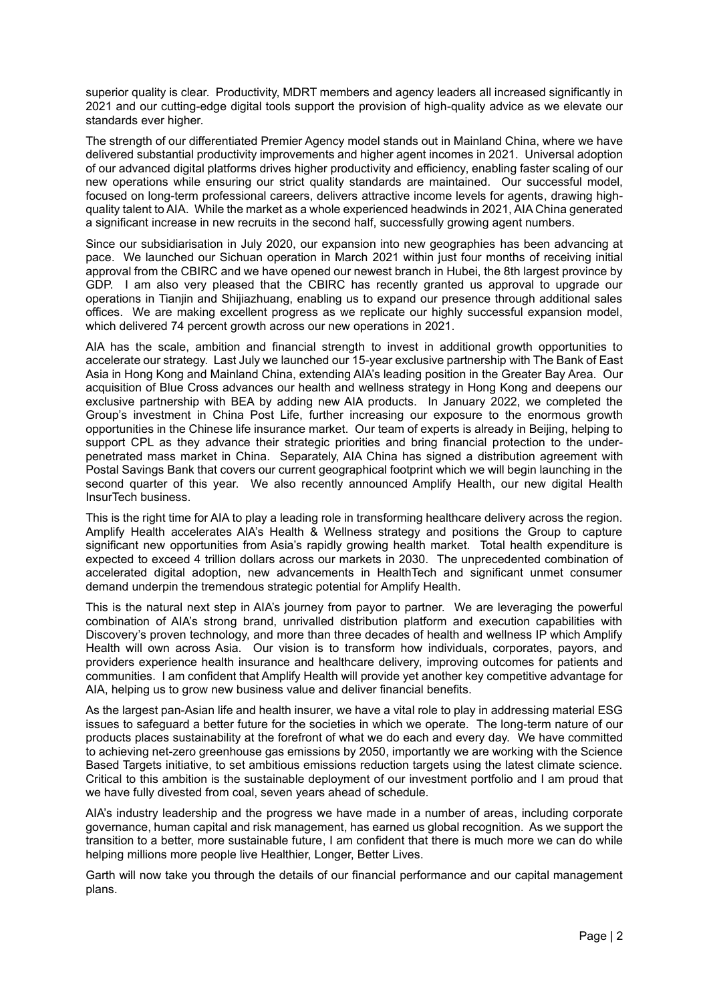superior quality is clear. Productivity, MDRT members and agency leaders all increased significantly in 2021 and our cutting-edge digital tools support the provision of high-quality advice as we elevate our standards ever higher.

The strength of our differentiated Premier Agency model stands out in Mainland China, where we have delivered substantial productivity improvements and higher agent incomes in 2021. Universal adoption of our advanced digital platforms drives higher productivity and efficiency, enabling faster scaling of our new operations while ensuring our strict quality standards are maintained. Our successful model, focused on long-term professional careers, delivers attractive income levels for agents, drawing highquality talent to AIA. While the market as a whole experienced headwinds in 2021, AIA China generated a significant increase in new recruits in the second half, successfully growing agent numbers.

Since our subsidiarisation in July 2020, our expansion into new geographies has been advancing at pace. We launched our Sichuan operation in March 2021 within just four months of receiving initial approval from the CBIRC and we have opened our newest branch in Hubei, the 8th largest province by GDP. I am also very pleased that the CBIRC has recently granted us approval to upgrade our operations in Tianjin and Shijiazhuang, enabling us to expand our presence through additional sales offices. We are making excellent progress as we replicate our highly successful expansion model, which delivered 74 percent growth across our new operations in 2021.

AIA has the scale, ambition and financial strength to invest in additional growth opportunities to accelerate our strategy. Last July we launched our 15-year exclusive partnership with The Bank of East Asia in Hong Kong and Mainland China, extending AIA's leading position in the Greater Bay Area. Our acquisition of Blue Cross advances our health and wellness strategy in Hong Kong and deepens our exclusive partnership with BEA by adding new AIA products. In January 2022, we completed the Group's investment in China Post Life, further increasing our exposure to the enormous growth opportunities in the Chinese life insurance market. Our team of experts is already in Beijing, helping to support CPL as they advance their strategic priorities and bring financial protection to the underpenetrated mass market in China. Separately, AIA China has signed a distribution agreement with Postal Savings Bank that covers our current geographical footprint which we will begin launching in the second quarter of this year. We also recently announced Amplify Health, our new digital Health InsurTech business.

This is the right time for AIA to play a leading role in transforming healthcare delivery across the region. Amplify Health accelerates AIA's Health & Wellness strategy and positions the Group to capture significant new opportunities from Asia's rapidly growing health market. Total health expenditure is expected to exceed 4 trillion dollars across our markets in 2030. The unprecedented combination of accelerated digital adoption, new advancements in HealthTech and significant unmet consumer demand underpin the tremendous strategic potential for Amplify Health.

This is the natural next step in AIA's journey from payor to partner. We are leveraging the powerful combination of AIA's strong brand, unrivalled distribution platform and execution capabilities with Discovery's proven technology, and more than three decades of health and wellness IP which Amplify Health will own across Asia. Our vision is to transform how individuals, corporates, payors, and providers experience health insurance and healthcare delivery, improving outcomes for patients and communities. I am confident that Amplify Health will provide yet another key competitive advantage for AIA, helping us to grow new business value and deliver financial benefits.

As the largest pan-Asian life and health insurer, we have a vital role to play in addressing material ESG issues to safeguard a better future for the societies in which we operate. The long-term nature of our products places sustainability at the forefront of what we do each and every day. We have committed to achieving net-zero greenhouse gas emissions by 2050, importantly we are working with the Science Based Targets initiative, to set ambitious emissions reduction targets using the latest climate science. Critical to this ambition is the sustainable deployment of our investment portfolio and I am proud that we have fully divested from coal, seven years ahead of schedule.

AIA's industry leadership and the progress we have made in a number of areas, including corporate governance, human capital and risk management, has earned us global recognition. As we support the transition to a better, more sustainable future, I am confident that there is much more we can do while helping millions more people live Healthier, Longer, Better Lives.

Garth will now take you through the details of our financial performance and our capital management plans.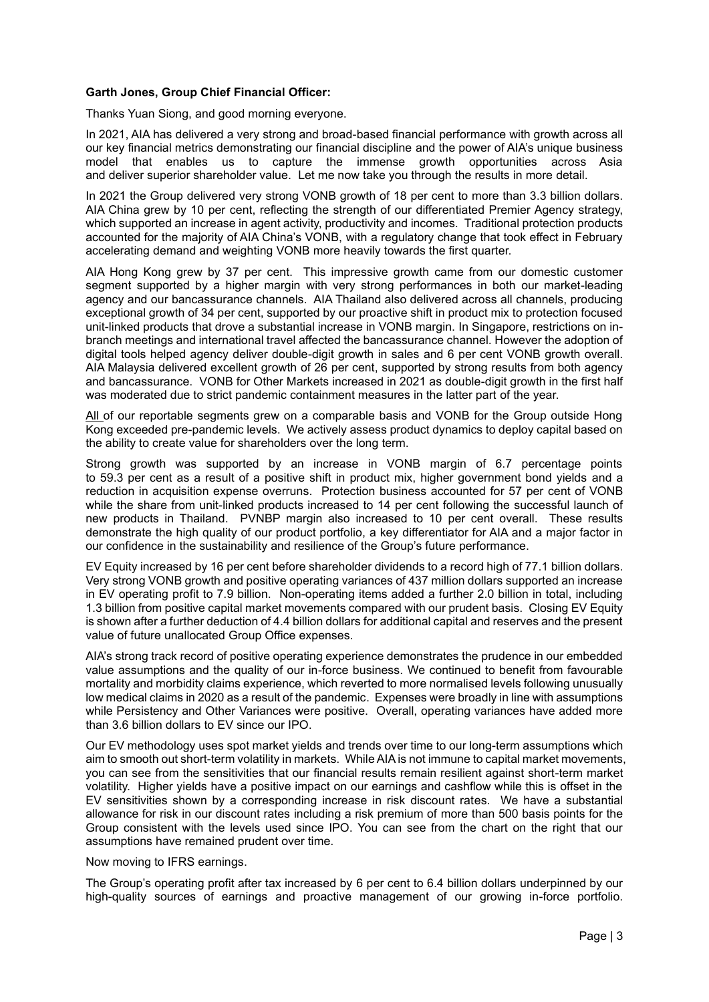## **Garth Jones, Group Chief Financial Officer:**

Thanks Yuan Siong, and good morning everyone.

In 2021, AIA has delivered a very strong and broad-based financial performance with growth across all our key financial metrics demonstrating our financial discipline and the power of AIA's unique business model that enables us to capture the immense growth opportunities across Asia and deliver superior shareholder value. Let me now take you through the results in more detail.

In 2021 the Group delivered very strong VONB growth of 18 per cent to more than 3.3 billion dollars. AIA China grew by 10 per cent, reflecting the strength of our differentiated Premier Agency strategy, which supported an increase in agent activity, productivity and incomes. Traditional protection products accounted for the majority of AIA China's VONB, with a regulatory change that took effect in February accelerating demand and weighting VONB more heavily towards the first quarter.

AIA Hong Kong grew by 37 per cent. This impressive growth came from our domestic customer segment supported by a higher margin with very strong performances in both our market-leading agency and our bancassurance channels. AIA Thailand also delivered across all channels, producing exceptional growth of 34 per cent, supported by our proactive shift in product mix to protection focused unit-linked products that drove a substantial increase in VONB margin. In Singapore, restrictions on inbranch meetings and international travel affected the bancassurance channel. However the adoption of digital tools helped agency deliver double-digit growth in sales and 6 per cent VONB growth overall. AIA Malaysia delivered excellent growth of 26 per cent, supported by strong results from both agency and bancassurance. VONB for Other Markets increased in 2021 as double-digit growth in the first half was moderated due to strict pandemic containment measures in the latter part of the year.

All of our reportable segments grew on a comparable basis and VONB for the Group outside Hong Kong exceeded pre-pandemic levels. We actively assess product dynamics to deploy capital based on the ability to create value for shareholders over the long term.

Strong growth was supported by an increase in VONB margin of 6.7 percentage points to 59.3 per cent as a result of a positive shift in product mix, higher government bond yields and a reduction in acquisition expense overruns. Protection business accounted for 57 per cent of VONB while the share from unit-linked products increased to 14 per cent following the successful launch of new products in Thailand. PVNBP margin also increased to 10 per cent overall. These results demonstrate the high quality of our product portfolio, a key differentiator for AIA and a major factor in our confidence in the sustainability and resilience of the Group's future performance.

EV Equity increased by 16 per cent before shareholder dividends to a record high of 77.1 billion dollars. Very strong VONB growth and positive operating variances of 437 million dollars supported an increase in EV operating profit to 7.9 billion. Non-operating items added a further 2.0 billion in total, including 1.3 billion from positive capital market movements compared with our prudent basis. Closing EV Equity is shown after a further deduction of 4.4 billion dollars for additional capital and reserves and the present value of future unallocated Group Office expenses.

AIA's strong track record of positive operating experience demonstrates the prudence in our embedded value assumptions and the quality of our in-force business. We continued to benefit from favourable mortality and morbidity claims experience, which reverted to more normalised levels following unusually low medical claims in 2020 as a result of the pandemic. Expenses were broadly in line with assumptions while Persistency and Other Variances were positive. Overall, operating variances have added more than 3.6 billion dollars to EV since our IPO.

Our EV methodology uses spot market yields and trends over time to our long-term assumptions which aim to smooth out short-term volatility in markets. While AIA is not immune to capital market movements, you can see from the sensitivities that our financial results remain resilient against short-term market volatility. Higher yields have a positive impact on our earnings and cashflow while this is offset in the EV sensitivities shown by a corresponding increase in risk discount rates. We have a substantial allowance for risk in our discount rates including a risk premium of more than 500 basis points for the Group consistent with the levels used since IPO. You can see from the chart on the right that our assumptions have remained prudent over time.

Now moving to IFRS earnings.

The Group's operating profit after tax increased by 6 per cent to 6.4 billion dollars underpinned by our high-quality sources of earnings and proactive management of our growing in-force portfolio.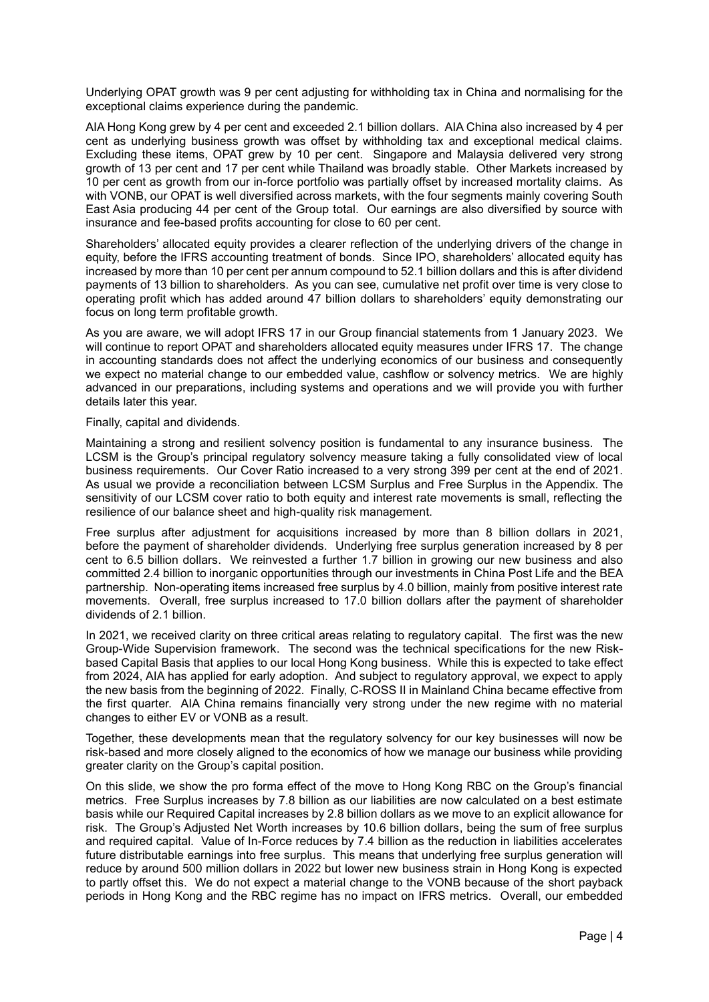Underlying OPAT growth was 9 per cent adjusting for withholding tax in China and normalising for the exceptional claims experience during the pandemic.

AIA Hong Kong grew by 4 per cent and exceeded 2.1 billion dollars. AIA China also increased by 4 per cent as underlying business growth was offset by withholding tax and exceptional medical claims. Excluding these items, OPAT grew by 10 per cent. Singapore and Malaysia delivered very strong growth of 13 per cent and 17 per cent while Thailand was broadly stable. Other Markets increased by 10 per cent as growth from our in-force portfolio was partially offset by increased mortality claims. As with VONB, our OPAT is well diversified across markets, with the four segments mainly covering South East Asia producing 44 per cent of the Group total. Our earnings are also diversified by source with insurance and fee-based profits accounting for close to 60 per cent.

Shareholders' allocated equity provides a clearer reflection of the underlying drivers of the change in equity, before the IFRS accounting treatment of bonds. Since IPO, shareholders' allocated equity has increased by more than 10 per cent per annum compound to 52.1 billion dollars and this is after dividend payments of 13 billion to shareholders. As you can see, cumulative net profit over time is very close to operating profit which has added around 47 billion dollars to shareholders' equity demonstrating our focus on long term profitable growth.

As you are aware, we will adopt IFRS 17 in our Group financial statements from 1 January 2023. We will continue to report OPAT and shareholders allocated equity measures under IFRS 17. The change in accounting standards does not affect the underlying economics of our business and consequently we expect no material change to our embedded value, cashflow or solvency metrics. We are highly advanced in our preparations, including systems and operations and we will provide you with further details later this year.

Finally, capital and dividends.

Maintaining a strong and resilient solvency position is fundamental to any insurance business. The LCSM is the Group's principal regulatory solvency measure taking a fully consolidated view of local business requirements. Our Cover Ratio increased to a very strong 399 per cent at the end of 2021. As usual we provide a reconciliation between LCSM Surplus and Free Surplus in the Appendix. The sensitivity of our LCSM cover ratio to both equity and interest rate movements is small, reflecting the resilience of our balance sheet and high-quality risk management.

Free surplus after adjustment for acquisitions increased by more than 8 billion dollars in 2021, before the payment of shareholder dividends. Underlying free surplus generation increased by 8 per cent to 6.5 billion dollars. We reinvested a further 1.7 billion in growing our new business and also committed 2.4 billion to inorganic opportunities through our investments in China Post Life and the BEA partnership. Non-operating items increased free surplus by 4.0 billion, mainly from positive interest rate movements. Overall, free surplus increased to 17.0 billion dollars after the payment of shareholder dividends of 2.1 billion.

In 2021, we received clarity on three critical areas relating to regulatory capital. The first was the new Group-Wide Supervision framework. The second was the technical specifications for the new Riskbased Capital Basis that applies to our local Hong Kong business. While this is expected to take effect from 2024, AIA has applied for early adoption. And subject to regulatory approval, we expect to apply the new basis from the beginning of 2022. Finally, C-ROSS II in Mainland China became effective from the first quarter. AIA China remains financially very strong under the new regime with no material changes to either EV or VONB as a result.

Together, these developments mean that the regulatory solvency for our key businesses will now be risk-based and more closely aligned to the economics of how we manage our business while providing greater clarity on the Group's capital position.

On this slide, we show the pro forma effect of the move to Hong Kong RBC on the Group's financial metrics. Free Surplus increases by 7.8 billion as our liabilities are now calculated on a best estimate basis while our Required Capital increases by 2.8 billion dollars as we move to an explicit allowance for risk. The Group's Adjusted Net Worth increases by 10.6 billion dollars, being the sum of free surplus and required capital. Value of In-Force reduces by 7.4 billion as the reduction in liabilities accelerates future distributable earnings into free surplus. This means that underlying free surplus generation will reduce by around 500 million dollars in 2022 but lower new business strain in Hong Kong is expected to partly offset this. We do not expect a material change to the VONB because of the short payback periods in Hong Kong and the RBC regime has no impact on IFRS metrics. Overall, our embedded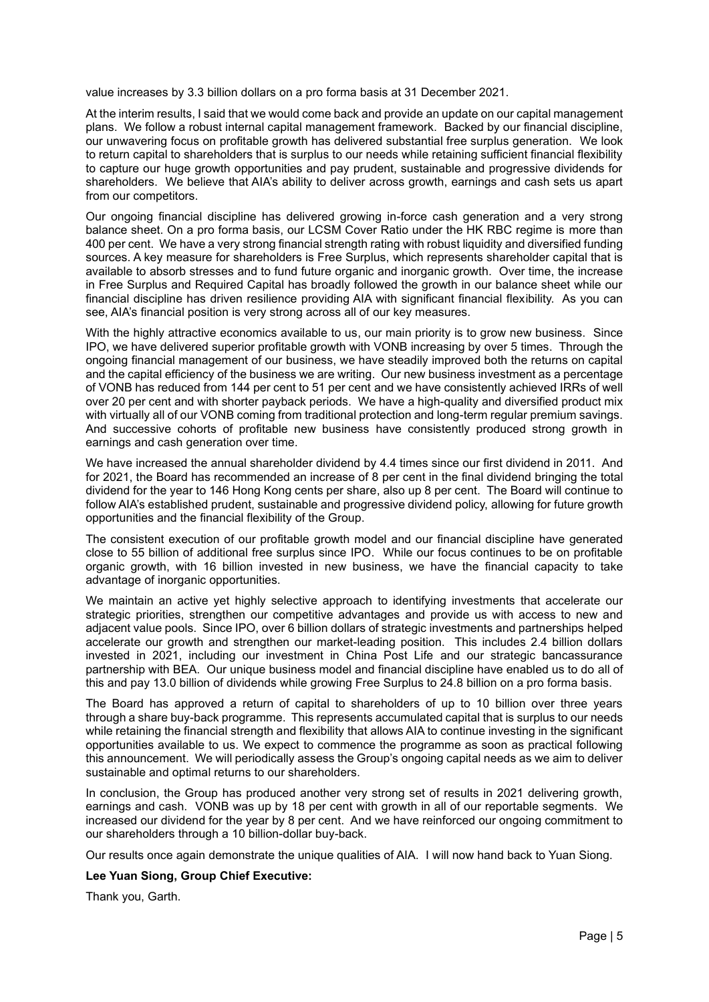value increases by 3.3 billion dollars on a pro forma basis at 31 December 2021.

At the interim results, I said that we would come back and provide an update on our capital management plans. We follow a robust internal capital management framework. Backed by our financial discipline, our unwavering focus on profitable growth has delivered substantial free surplus generation. We look to return capital to shareholders that is surplus to our needs while retaining sufficient financial flexibility to capture our huge growth opportunities and pay prudent, sustainable and progressive dividends for shareholders. We believe that AIA's ability to deliver across growth, earnings and cash sets us apart from our competitors.

Our ongoing financial discipline has delivered growing in-force cash generation and a very strong balance sheet. On a pro forma basis, our LCSM Cover Ratio under the HK RBC regime is more than 400 per cent. We have a very strong financial strength rating with robust liquidity and diversified funding sources. A key measure for shareholders is Free Surplus, which represents shareholder capital that is available to absorb stresses and to fund future organic and inorganic growth. Over time, the increase in Free Surplus and Required Capital has broadly followed the growth in our balance sheet while our financial discipline has driven resilience providing AIA with significant financial flexibility. As you can see, AIA's financial position is very strong across all of our key measures.

With the highly attractive economics available to us, our main priority is to grow new business. Since IPO, we have delivered superior profitable growth with VONB increasing by over 5 times. Through the ongoing financial management of our business, we have steadily improved both the returns on capital and the capital efficiency of the business we are writing. Our new business investment as a percentage of VONB has reduced from 144 per cent to 51 per cent and we have consistently achieved IRRs of well over 20 per cent and with shorter payback periods. We have a high-quality and diversified product mix with virtually all of our VONB coming from traditional protection and long-term regular premium savings. And successive cohorts of profitable new business have consistently produced strong growth in earnings and cash generation over time.

We have increased the annual shareholder dividend by 4.4 times since our first dividend in 2011. And for 2021, the Board has recommended an increase of 8 per cent in the final dividend bringing the total dividend for the year to 146 Hong Kong cents per share, also up 8 per cent. The Board will continue to follow AIA's established prudent, sustainable and progressive dividend policy, allowing for future growth opportunities and the financial flexibility of the Group.

The consistent execution of our profitable growth model and our financial discipline have generated close to 55 billion of additional free surplus since IPO. While our focus continues to be on profitable organic growth, with 16 billion invested in new business, we have the financial capacity to take advantage of inorganic opportunities.

We maintain an active yet highly selective approach to identifying investments that accelerate our strategic priorities, strengthen our competitive advantages and provide us with access to new and adjacent value pools. Since IPO, over 6 billion dollars of strategic investments and partnerships helped accelerate our growth and strengthen our market-leading position. This includes 2.4 billion dollars invested in 2021, including our investment in China Post Life and our strategic bancassurance partnership with BEA. Our unique business model and financial discipline have enabled us to do all of this and pay 13.0 billion of dividends while growing Free Surplus to 24.8 billion on a pro forma basis.

The Board has approved a return of capital to shareholders of up to 10 billion over three years through a share buy-back programme. This represents accumulated capital that is surplus to our needs while retaining the financial strength and flexibility that allows AIA to continue investing in the significant opportunities available to us. We expect to commence the programme as soon as practical following this announcement. We will periodically assess the Group's ongoing capital needs as we aim to deliver sustainable and optimal returns to our shareholders.

In conclusion, the Group has produced another very strong set of results in 2021 delivering growth, earnings and cash. VONB was up by 18 per cent with growth in all of our reportable segments.We increased our dividend for the year by 8 per cent. And we have reinforced our ongoing commitment to our shareholders through a 10 billion-dollar buy-back.

Our results once again demonstrate the unique qualities of AIA. I will now hand back to Yuan Siong.

### **Lee Yuan Siong, Group Chief Executive:**

Thank you, Garth.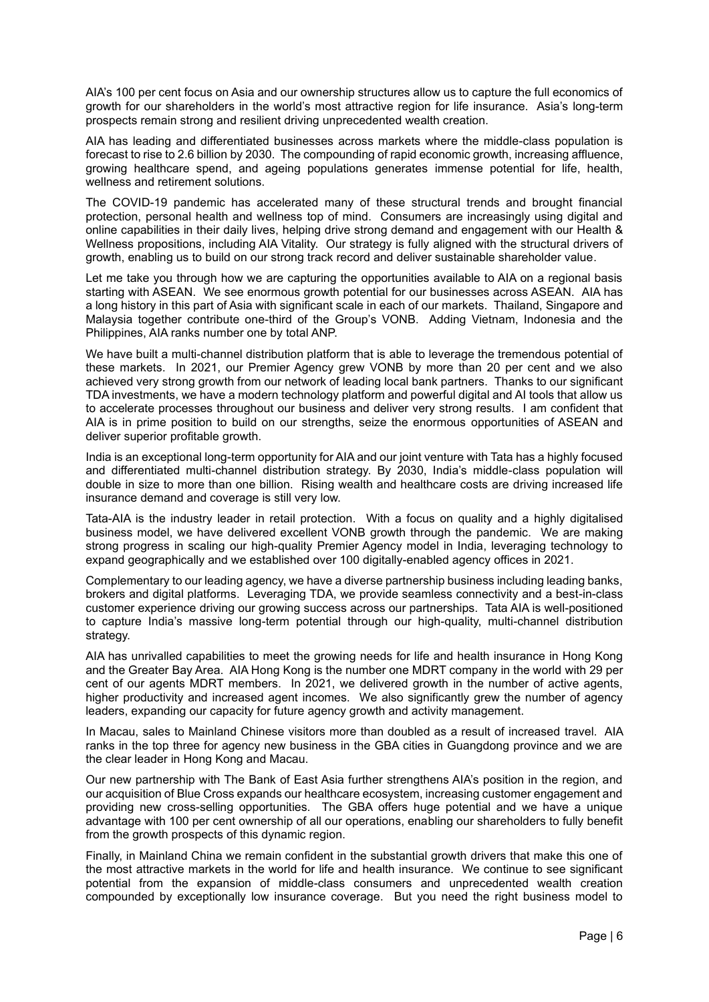AIA's 100 per cent focus on Asia and our ownership structures allow us to capture the full economics of growth for our shareholders in the world's most attractive region for life insurance. Asia's long-term prospects remain strong and resilient driving unprecedented wealth creation.

AIA has leading and differentiated businesses across markets where the middle-class population is forecast to rise to 2.6 billion by 2030. The compounding of rapid economic growth, increasing affluence, growing healthcare spend, and ageing populations generates immense potential for life, health, wellness and retirement solutions.

The COVID-19 pandemic has accelerated many of these structural trends and brought financial protection, personal health and wellness top of mind. Consumers are increasingly using digital and online capabilities in their daily lives, helping drive strong demand and engagement with our Health & Wellness propositions, including AIA Vitality. Our strategy is fully aligned with the structural drivers of growth, enabling us to build on our strong track record and deliver sustainable shareholder value.

Let me take you through how we are capturing the opportunities available to AIA on a regional basis starting with ASEAN. We see enormous growth potential for our businesses across ASEAN. AIA has a long history in this part of Asia with significant scale in each of our markets. Thailand, Singapore and Malaysia together contribute one-third of the Group's VONB. Adding Vietnam, Indonesia and the Philippines, AIA ranks number one by total ANP.

We have built a multi-channel distribution platform that is able to leverage the tremendous potential of these markets. In 2021, our Premier Agency grew VONB by more than 20 per cent and we also achieved very strong growth from our network of leading local bank partners. Thanks to our significant TDA investments, we have a modern technology platform and powerful digital and AI tools that allow us to accelerate processes throughout our business and deliver very strong results. I am confident that AIA is in prime position to build on our strengths, seize the enormous opportunities of ASEAN and deliver superior profitable growth.

India is an exceptional long-term opportunity for AIA and our joint venture with Tata has a highly focused and differentiated multi-channel distribution strategy. By 2030, India's middle-class population will double in size to more than one billion. Rising wealth and healthcare costs are driving increased life insurance demand and coverage is still very low.

Tata-AIA is the industry leader in retail protection. With a focus on quality and a highly digitalised business model, we have delivered excellent VONB growth through the pandemic. We are making strong progress in scaling our high-quality Premier Agency model in India, leveraging technology to expand geographically and we established over 100 digitally-enabled agency offices in 2021.

Complementary to our leading agency, we have a diverse partnership business including leading banks, brokers and digital platforms. Leveraging TDA, we provide seamless connectivity and a best-in-class customer experience driving our growing success across our partnerships. Tata AIA is well-positioned to capture India's massive long-term potential through our high-quality, multi-channel distribution strategy.

AIA has unrivalled capabilities to meet the growing needs for life and health insurance in Hong Kong and the Greater Bay Area. AIA Hong Kong is the number one MDRT company in the world with 29 per cent of our agents MDRT members. In 2021, we delivered growth in the number of active agents, higher productivity and increased agent incomes. We also significantly grew the number of agency leaders, expanding our capacity for future agency growth and activity management.

In Macau, sales to Mainland Chinese visitors more than doubled as a result of increased travel. AIA ranks in the top three for agency new business in the GBA cities in Guangdong province and we are the clear leader in Hong Kong and Macau.

Our new partnership with The Bank of East Asia further strengthens AIA's position in the region, and our acquisition of Blue Cross expands our healthcare ecosystem, increasing customer engagement and providing new cross-selling opportunities. The GBA offers huge potential and we have a unique advantage with 100 per cent ownership of all our operations, enabling our shareholders to fully benefit from the growth prospects of this dynamic region.

Finally, in Mainland China we remain confident in the substantial growth drivers that make this one of the most attractive markets in the world for life and health insurance. We continue to see significant potential from the expansion of middle-class consumers and unprecedented wealth creation compounded by exceptionally low insurance coverage. But you need the right business model to